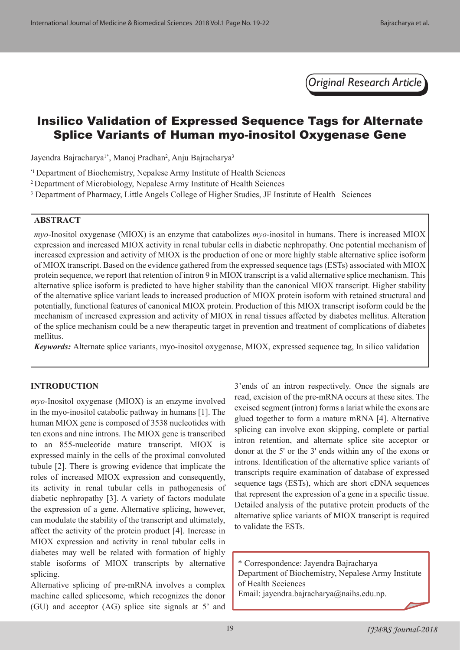*Original Research Article*

# Insilico Validation of Expressed Sequence Tags for Alternate Splice Variants of Human myo-inositol Oxygenase Gene

Jayendra Bajracharya<sup>1\*</sup>, Manoj Pradhan<sup>2</sup>, Anju Bajracharya<sup>3</sup>

'1 Department of Biochemistry, Nepalese Army Institute of Health Sciences

<sup>2</sup> Department of Microbiology, Nepalese Army Institute of Health Sciences

<sup>3</sup> Department of Pharmacy, Little Angels College of Higher Studies, JF Institute of Health Sciences

# **ABSTRACT**

*myo*-Inositol oxygenase (MIOX) is an enzyme that catabolizes *myo*-inositol in humans. There is increased MIOX expression and increased MIOX activity in renal tubular cells in diabetic nephropathy. One potential mechanism of increased expression and activity of MIOX is the production of one or more highly stable alternative splice isoform of MIOX transcript. Based on the evidence gathered from the expressed sequence tags (ESTs) associated with MIOX protein sequence, we report that retention of intron 9 in MIOX transcript is a valid alternative splice mechanism. This alternative splice isoform is predicted to have higher stability than the canonical MIOX transcript. Higher stability of the alternative splice variant leads to increased production of MIOX protein isoform with retained structural and potentially, functional features of canonical MIOX protein. Production of this MIOX transcript isoform could be the mechanism of increased expression and activity of MIOX in renal tissues affected by diabetes mellitus. Alteration of the splice mechanism could be a new therapeutic target in prevention and treatment of complications of diabetes mellitus.

*Keywords:* Alternate splice variants, myo-inositol oxygenase, MIOX, expressed sequence tag, In silico validation

# **INTRODUCTION**

*myo*-Inositol oxygenase (MIOX) is an enzyme involved in the myo-inositol catabolic pathway in humans [1]. The human MIOX gene is composed of 3538 nucleotides with ten exons and nine introns. The MIOX gene is transcribed to an 855-nucleotide mature transcript. MIOX is expressed mainly in the cells of the proximal convoluted tubule [2]. There is growing evidence that implicate the roles of increased MIOX expression and consequently, its activity in renal tubular cells in pathogenesis of diabetic nephropathy [3]. A variety of factors modulate the expression of a gene. Alternative splicing, however, can modulate the stability of the transcript and ultimately, affect the activity of the protein product [4]. Increase in MIOX expression and activity in renal tubular cells in diabetes may well be related with formation of highly stable isoforms of MIOX transcripts by alternative splicing.

Alternative splicing of pre-mRNA involves a complex machine called splicesome, which recognizes the donor (GU) and acceptor (AG) splice site signals at 5' and 3'ends of an intron respectively. Once the signals are read, excision of the pre-mRNA occurs at these sites. The excised segment (intron) forms a lariat while the exons are glued together to form a mature mRNA [4]. Alternative splicing can involve exon skipping, complete or partial intron retention, and alternate splice site acceptor or donor at the 5' or the 3' ends within any of the exons or introns. Identification of the alternative splice variants of transcripts require examination of database of expressed sequence tags (ESTs), which are short cDNA sequences that represent the expression of a gene in a specific tissue. Detailed analysis of the putative protein products of the alternative splice variants of MIOX transcript is required to validate the ESTs.

\* Correspondence: Jayendra Bajracharya Department of Biochemistry, Nepalese Army Institute of Health Sceiences

Email: jayendra.bajracharya@naihs.edu.np.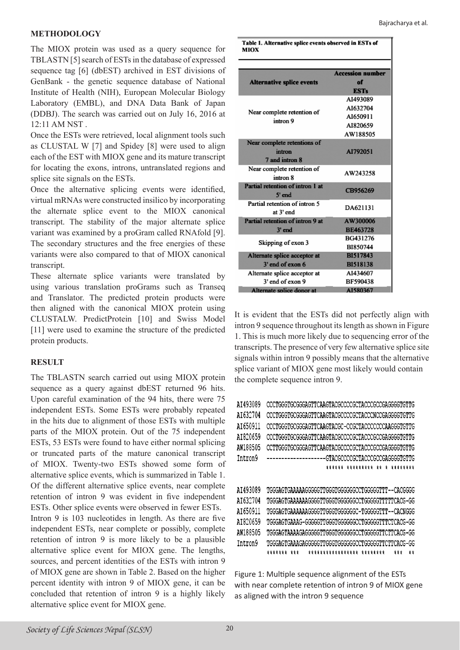#### Bajracharya et al.

# **METHODOLOGY**

The MIOX protein was used as a query sequence for TBLASTN [5] search of ESTs in the database of expressed sequence tag [6] (dbEST) archived in EST divisions of GenBank - the genetic sequence database of National Institute of Health (NIH), European Molecular Biology Laboratory (EMBL), and DNA Data Bank of Japan (DDBJ). The search was carried out on July 16, 2016 at 12:11 AM NST .

Once the ESTs were retrieved, local alignment tools such as CLUSTAL W [7] and Spidey [8] were used to align each of the EST with MIOX gene and its mature transcript for locating the exons, introns, untranslated regions and splice site signals on the ESTs.

Once the alternative splicing events were identified, virtual mRNAs were constructed insilico by incorporating the alternate splice event to the MIOX canonical transcript. The stability of the major alternate splice variant was examined by a proGram called RNAfold [9]. The secondary structures and the free energies of these variants were also compared to that of MIOX canonical transcript.

These alternate splice variants were translated by using various translation proGrams such as Transeq and Translator. The predicted protein products were then aligned with the canonical MIOX protein using CLUSTALW. PredictProtein [10] and Swiss Model [11] were used to examine the structure of the predicted protein products.

# **RESULT**

The TBLASTN search carried out using MIOX protein sequence as a query against dbEST returned 96 hits. Upon careful examination of the 94 hits, there were 75 independent ESTs. Some ESTs were probably repeated in the hits due to alignment of those ESTs with multiple parts of the MIOX protein. Out of the 75 independent ESTs, 53 ESTs were found to have either normal splicing or truncated parts of the mature canonical transcript of MIOX. Twenty-two ESTs showed some form of alternative splice events, which is summarized in Table 1. Of the different alternative splice events, near complete retention of intron 9 was evident in five independent ESTs. Other splice events were observed in fewer ESTs. Intron 9 is 103 nucleotides in length. As there are five independent ESTs, near complete or possibly, complete retention of intron 9 is more likely to be a plausible alternative splice event for MIOX gene. The lengths, sources, and percent identities of the ESTs with intron 9 of MIOX gene are shown in Table 2. Based on the higher percent identity with intron 9 of MIOX gene, it can be concluded that retention of intron 9 is a highly likely alternative splice event for MIOX gene.

Table 1. Alternative splice events observed in ESTs of **MIOX** 

|                                        | <b>Accession number</b> |
|----------------------------------------|-------------------------|
| <b>Alternative splice events</b>       | of                      |
|                                        | <b>ESTs</b>             |
| Near complete retention of<br>intron 9 | AI493089                |
|                                        | AI632704                |
|                                        | AI650911                |
|                                        | AI820659                |
|                                        | AW188505                |
| Near complete retentions of            |                         |
| intron                                 | AI792051                |
| 7 and intron 8                         |                         |
| Near complete retention of             | AW243258                |
| intron 8                               |                         |
| Partial retention of intron 1 at       | CB956269                |
| $5'$ end                               |                         |
| Partial retention of intron 5          | DA621131                |
| at 3' end                              |                         |
| Partial retention of intron 9 at       | AW300006                |
| $3'$ end                               | <b>BE463728</b>         |
| Skipping of exon 3                     | BG431276                |
|                                        | BI850744                |
| Alternate splice acceptor at           | BI517843                |
| 3' end of exon 6                       | <b>BI518138</b>         |
| Alternate splice acceptor at           | AI434607                |
| 3' end of exon 9                       | BF590438                |
| Alternate splice donor at              | A1580367                |

It is evident that the ESTs did not perfectly align with intron 9 sequence throughout its length as shown in Figure 1. This is much more likely due to sequencing error of the transcripts. The presence of very few alternative splice site signals within intron 9 possibly means that the alternative splice variant of MIOX gene most likely would contain the complete sequence intron 9.

| CCCTGGGTGCGGGAGTTCAAGTACGCCCCGCTACCCGCCGAGGGGTGTTG |
|----------------------------------------------------|
| CCCTGGGTGCGGGAGTTCAAGTACGCCCCGCTACCCNCCGAGGGGTGTTG |
| CCCTGGGTGCGGGAGTTCAAGTACGC-CCGCTACCCCCCCAAGGGTGTTG |
| CCCTGGGTGCGGGAGTTCAAGTACGCCCCGCTACCCGCCGAGGGGTGTTG |
| CCTTGGGTGCGGGAGTTCAAGTACGCCCCCCTACCCGCCGAGGGGTGTTG |
| --------------GTACGCCCCGCTACCCGCGAGGGGTGTTG        |
| ****** ********* ** * ********                     |
|                                                    |
| TGGGAGTGAAAAAGGGGGTTGGGTGGGGGCCTGGGGGTTT--CACGGGG  |
| TGGGAGTGAAAAAAGGGGTTGGGTGGGGGCCTGGGGGTTTTTCACG-GG  |
| TGGGAGTGAAAAAAGGGGTTGGGTGGGGGC-TGGGGGTTT--CACNGGG  |
| TGGGAGTGAAAG-GGGGGTTGGGTGGGGGCCTGGGGGTTTCTCACG-GG  |
| TGGGAGTAAAAGAGGGGGTTGGGTGGGGGGCCTGGGGGTTCTTCACG-GG |
| TGGGAGTGAAAGAGGGGGTTGGGTGGGGGCCTGGGGGTTCTTCACG-GG  |
| ******* ***<br>***************** ********<br>t t   |
|                                                    |

Figure 1: Multiple sequence alignment of the ESTs with near complete retention of intron 9 of MIOX gene as aligned with the intron 9 sequence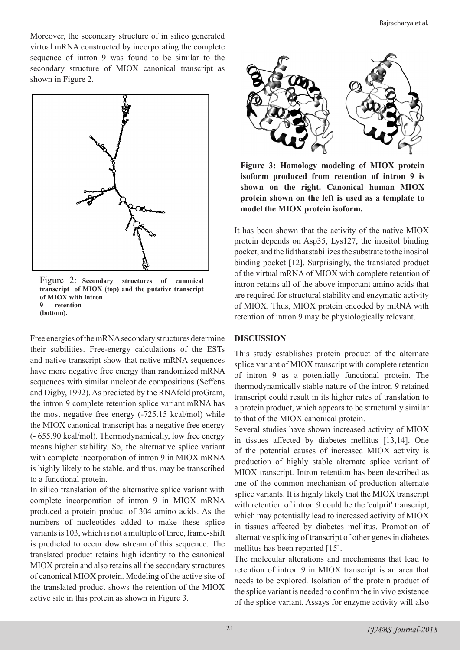Moreover, the secondary structure of in silico generated virtual mRNA constructed by incorporating the complete sequence of intron 9 was found to be similar to the secondary structure of MIOX canonical transcript as shown in Figure 2.



Figure 2: **Secondary structures of canonical transcript of MIOX (top) and the putative transcript of MIOX with intron 9 retention (bottom).**

Free energies of the mRNA secondary structures determine their stabilities. Free-energy calculations of the ESTs and native transcript show that native mRNA sequences have more negative free energy than randomized mRNA sequences with similar nucleotide compositions (Seffens and Digby, 1992). As predicted by the RNAfold proGram, the intron 9 complete retention splice variant mRNA has the most negative free energy (-725.15 kcal/mol) while the MIOX canonical transcript has a negative free energy (- 655.90 kcal/mol). Thermodynamically, low free energy means higher stability. So, the alternative splice variant with complete incorporation of intron 9 in MIOX mRNA is highly likely to be stable, and thus, may be transcribed to a functional protein.

In silico translation of the alternative splice variant with complete incorporation of intron 9 in MIOX mRNA produced a protein product of 304 amino acids. As the numbers of nucleotides added to make these splice variants is 103, which is not a multiple of three, frame-shift is predicted to occur downstream of this sequence. The translated product retains high identity to the canonical MIOX protein and also retains all the secondary structures of canonical MIOX protein. Modeling of the active site of the translated product shows the retention of the MIOX active site in this protein as shown in Figure 3.



**Figure 3: Homology modeling of MIOX protein isoform produced from retention of intron 9 is shown on the right. Canonical human MIOX protein shown on the left is used as a template to model the MIOX protein isoform.**

It has been shown that the activity of the native MIOX protein depends on Asp35, Lys127, the inositol binding pocket, and the lid that stabilizes the substrate to the inositol binding pocket [12]. Surprisingly, the translated product of the virtual mRNA of MIOX with complete retention of intron retains all of the above important amino acids that are required for structural stability and enzymatic activity of MIOX. Thus, MIOX protein encoded by mRNA with retention of intron 9 may be physiologically relevant.

# **DISCUSSION**

This study establishes protein product of the alternate splice variant of MIOX transcript with complete retention of intron 9 as a potentially functional protein. The thermodynamically stable nature of the intron 9 retained transcript could result in its higher rates of translation to a protein product, which appears to be structurally similar to that of the MIOX canonical protein.

Several studies have shown increased activity of MIOX in tissues affected by diabetes mellitus [13,14]. One of the potential causes of increased MIOX activity is production of highly stable alternate splice variant of MIOX transcript. Intron retention has been described as one of the common mechanism of production alternate splice variants. It is highly likely that the MIOX transcript with retention of intron 9 could be the 'culprit' transcript, which may potentially lead to increased activity of MIOX in tissues affected by diabetes mellitus. Promotion of alternative splicing of transcript of other genes in diabetes mellitus has been reported [15].

The molecular alterations and mechanisms that lead to retention of intron 9 in MIOX transcript is an area that needs to be explored. Isolation of the protein product of the splice variant is needed to confirm the in vivo existence of the splice variant. Assays for enzyme activity will also